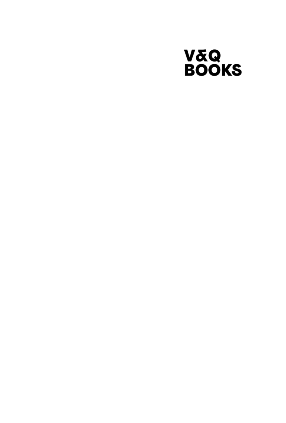## V&Q<br>BOOKS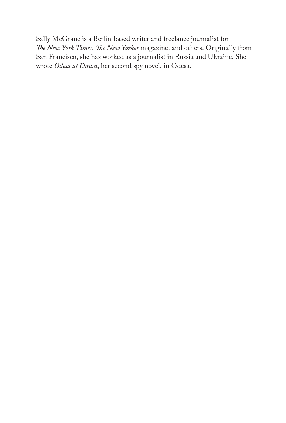Sally McGrane is a Berlin-based writer and freelance journalist for *The New York Times*, *The New Yorker* magazine, and others. Originally from San Francisco, she has worked as a journalist in Russia and Ukraine. She wrote *Odesa at Dawn*, her second spy novel, in Odesa.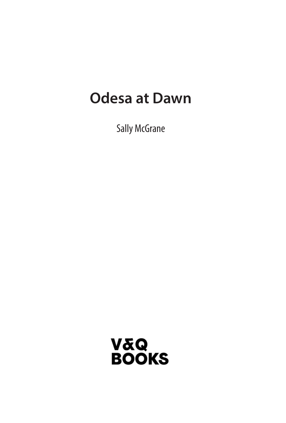## **Odesa at Dawn**

Sally McGrane

V&Q<br>BOOKS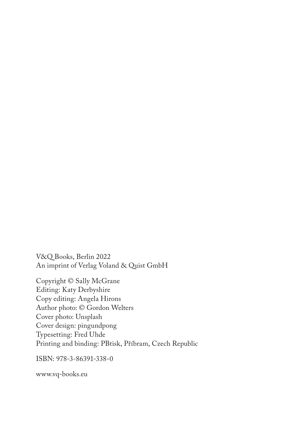V&Q Books, Berlin 2022 An imprint of Verlag Voland & Quist GmbH

Copyright © Sally McGrane Editing: Katy Derbyshire Copy editing: Angela Hirons Author photo: © Gordon Welters Cover photo: Unsplash Cover design: pingundpong Typesetting: Fred Uhde Printing and binding: PBtisk, Příbram, Czech Republic

ISBN: 978-3-86391-338-0

www.vq-books.eu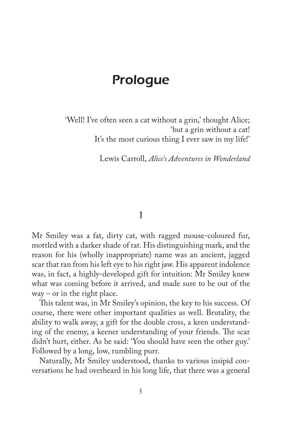## Prologue

'Well! I've often seen a cat without a grin,' thought Alice; 'but a grin without a cat! It's the most curious thing I ever saw in my life!'

Lewis Carroll, *Alice's Adventures in Wonderland* 

## 1

Mr Smiley was a fat, dirty cat, with ragged mouse-coloured fur, mottled with a darker shade of rat. His distinguishing mark, and the reason for his (wholly inappropriate) name was an ancient, jagged scar that ran from his left eye to his right jaw. His apparent indolence was, in fact, a highly-developed gift for intuition: Mr Smiley knew what was coming before it arrived, and made sure to be out of the  $way - or in the right place.$ 

This talent was, in Mr Smiley's opinion, the key to his success. Of course, there were other important qualities as well. Brutality, the ability to walk away, a gift for the double cross, a keen understanding of the enemy, a keener understanding of your friends. The scar didn't hurt, either. As he said: 'You should have seen the other guy.' Followed by a long, low, rumbling purr.

Naturally, Mr Smiley understood, thanks to various insipid conversations he had overheard in his long life, that there was a general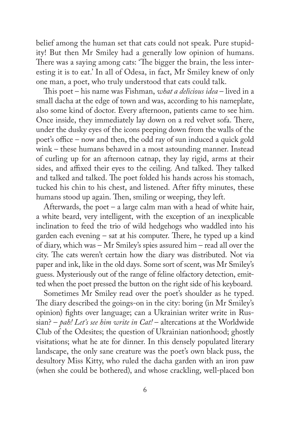belief among the human set that cats could not speak. Pure stupidity! But then Mr Smiley had a generally low opinion of humans. There was a saying among cats: 'The bigger the brain, the less interesting it is to eat.' In all of Odesa, in fact, Mr Smiley knew of only one man, a poet, who truly understood that cats could talk.

This poet – his name was Fishman, *what a delicious idea* – lived in a small dacha at the edge of town and was, according to his nameplate, also some kind of doctor. Every afternoon, patients came to see him. Once inside, they immediately lay down on a red velvet sofa. There, under the dusky eyes of the icons peeping down from the walls of the poet's office – now and then, the odd ray of sun induced a quick gold wink – these humans behaved in a most astounding manner. Instead of curling up for an afternoon catnap, they lay rigid, arms at their sides, and affixed their eyes to the ceiling. And talked. They talked and talked and talked. The poet folded his hands across his stomach, tucked his chin to his chest, and listened. After fifty minutes, these humans stood up again. Then, smiling or weeping, they left.

Afterwards, the poet – a large calm man with a head of white hair, a white beard, very intelligent, with the exception of an inexplicable inclination to feed the trio of wild hedgehogs who waddled into his garden each evening – sat at his computer. There, he typed up a kind of diary, which was – Mr Smiley's spies assured him – read all over the city. The cats weren't certain how the diary was distributed. Not via paper and ink, like in the old days. Some sort of scent, was Mr Smiley's guess. Mysteriously out of the range of feline olfactory detection, emitted when the poet pressed the button on the right side of his keyboard.

Sometimes Mr Smiley read over the poet's shoulder as he typed. The diary described the goings-on in the city: boring (in Mr Smiley's opinion) fights over language; can a Ukrainian writer write in Russian? – *pah! Let's see him write in Cat!* – altercations at the Worldwide Club of the Odesites; the question of Ukrainian nationhood; ghostly visitations; what he ate for dinner. In this densely populated literary landscape, the only sane creature was the poet's own black puss, the desultory Miss Kitty, who ruled the dacha garden with an iron paw (when she could be bothered), and whose crackling, well-placed bon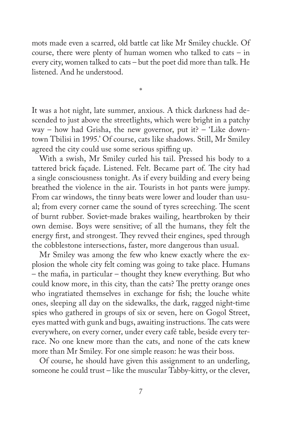mots made even a scarred, old battle cat like Mr Smiley chuckle. Of course, there were plenty of human women who talked to cats  $-$  in every city, women talked to cats – but the poet did more than talk. He listened. And he understood.

It was a hot night, late summer, anxious. A thick darkness had descended to just above the streetlights, which were bright in a patchy way – how had Grisha, the new governor, put it? – 'Like downtown Tbilisi in 1995.' Of course, cats like shadows. Still, Mr Smiley agreed the city could use some serious spiffing up.

\*

With a swish, Mr Smiley curled his tail. Pressed his body to a tattered brick façade. Listened. Felt. Became part of. The city had a single consciousness tonight. As if every building and every being breathed the violence in the air. Tourists in hot pants were jumpy. From car windows, the tinny beats were lower and louder than usual; from every corner came the sound of tyres screeching. The scent of burnt rubber. Soviet-made brakes wailing, heartbroken by their own demise. Boys were sensitive; of all the humans, they felt the energy first, and strongest. They revved their engines, sped through the cobblestone intersections, faster, more dangerous than usual.

Mr Smiley was among the few who knew exactly where the explosion the whole city felt coming was going to take place. Humans – the mafia, in particular – thought they knew everything. But who could know more, in this city, than the cats? The pretty orange ones who ingratiated themselves in exchange for fish; the louche white ones, sleeping all day on the sidewalks, the dark, ragged night-time spies who gathered in groups of six or seven, here on Gogol Street, eyes matted with gunk and bugs, awaiting instructions. The cats were everywhere, on every corner, under every café table, beside every terrace. No one knew more than the cats, and none of the cats knew more than Mr Smiley. For one simple reason: he was their boss.

Of course, he should have given this assignment to an underling, someone he could trust – like the muscular Tabby-kitty, or the clever,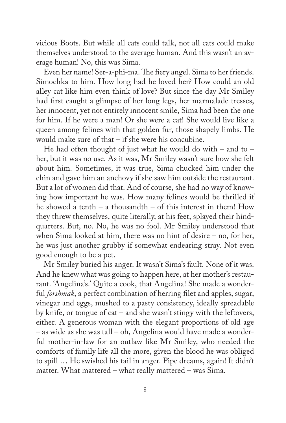vicious Boots. But while all cats could talk, not all cats could make themselves understood to the average human. And this wasn't an average human! No, this was Sima.

Even her name! Ser-a-phi-ma. The fiery angel. Sima to her friends. Simochka to him. How long had he loved her? How could an old alley cat like him even think of love? But since the day Mr Smiley had first caught a glimpse of her long legs, her marmalade tresses, her innocent, yet not entirely innocent smile, Sima had been the one for him. If he were a man! Or she were a cat! She would live like a queen among felines with that golden fur, those shapely limbs. He would make sure of that – if she were his concubine.

He had often thought of just what he would do with – and to – her, but it was no use. As it was, Mr Smiley wasn't sure how she felt about him. Sometimes, it was true, Sima chucked him under the chin and gave him an anchovy if she saw him outside the restaurant. But a lot of women did that. And of course, she had no way of knowing how important he was. How many felines would be thrilled if he showed a tenth – a thousandth – of this interest in them! How they threw themselves, quite literally, at his feet, splayed their hindquarters. But, no. No, he was no fool. Mr Smiley understood that when Sima looked at him, there was no hint of desire – no, for her, he was just another grubby if somewhat endearing stray. Not even good enough to be a pet.

Mr Smiley buried his anger. It wasn't Sima's fault. None of it was. And he knew what was going to happen here, at her mother's restaurant. 'Angelina's.' Quite a cook, that Angelina! She made a wonderful *forshmak*, a perfect combination of herring filet and apples, sugar, vinegar and eggs, mushed to a pasty consistency, ideally spreadable by knife, or tongue of cat – and she wasn't stingy with the leftovers, either. A generous woman with the elegant proportions of old age – as wide as she was tall – oh, Angelina would have made a wonderful mother-in-law for an outlaw like Mr Smiley, who needed the comforts of family life all the more, given the blood he was obliged to spill … He swished his tail in anger. Pipe dreams, again! It didn't matter. What mattered – what really mattered – was Sima.